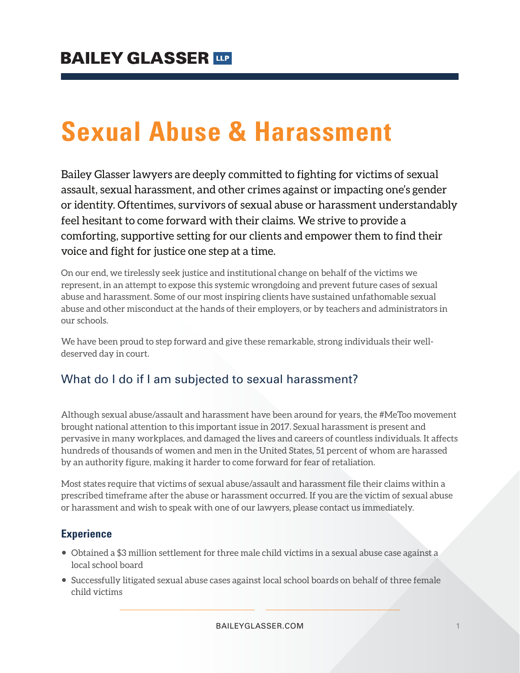# **Sexual Abuse & Harassment**

Bailey Glasser lawyers are deeply committed to fighting for victims of sexual assault, sexual harassment, and other crimes against or impacting one's gender or identity. Oftentimes, survivors of sexual abuse or harassment understandably feel hesitant to come forward with their claims. We strive to provide a comforting, supportive setting for our clients and empower them to find their voice and fight for justice one step at a time.

On our end, we tirelessly seek justice and institutional change on behalf of the victims we represent, in an attempt to expose this systemic wrongdoing and prevent future cases of sexual abuse and harassment. Some of our most inspiring clients have sustained unfathomable sexual abuse and other misconduct at the hands of their employers, or by teachers and administrators in our schools.

We have been proud to step forward and give these remarkable, strong individuals their welldeserved day in court.

# What do I do if I am subjected to sexual harassment?

Although sexual abuse/assault and harassment have been around for years, the #MeToo movement brought national attention to this important issue in 2017. Sexual harassment is present and pervasive in many workplaces, and damaged the lives and careers of countless individuals. It affects hundreds of thousands of women and men in the United States, 51 percent of whom are harassed by an authority figure, making it harder to come forward for fear of retaliation.

Most states require that victims of sexual abuse/assault and harassment file their claims within a prescribed timeframe after the abuse or harassment occurred. If you are the victim of sexual abuse or harassment and wish to speak with one of our lawyers, please contact us immediately.

# **Experience**

- Obtained a \$3 million settlement for three male child victims in a sexual abuse case against a local school board
- Successfully litigated sexual abuse cases against local school boards on behalf of three female child victims